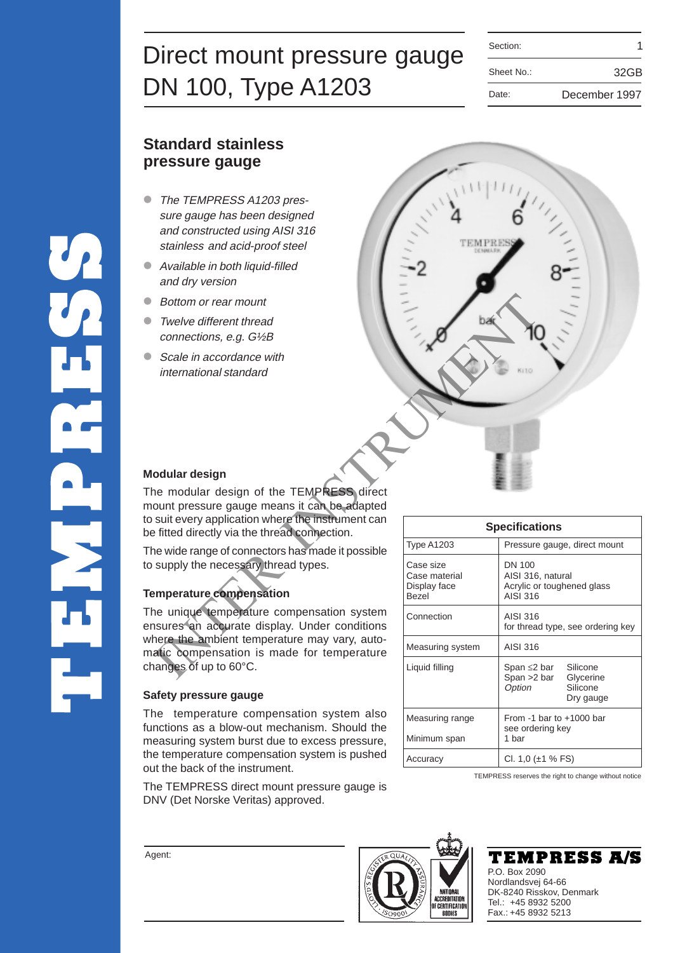| Direct mount pressure gauge | Section:   |               |
|-----------------------------|------------|---------------|
|                             | Sheet No.: | 32GB          |
| DN 100, Type A1203          | Date:      | December 1997 |

| Section:   |               |
|------------|---------------|
| Sheet No.: | 32GB          |
| Date:      | December 1997 |

# **Standard stainless pressure gauge**

- The TEMPRESS A1203 pressure gauge has been designed and constructed using AISI 316 stainless and acid-proof steel
- Available in both liquid-filled and dry version
- Bottom or rear mount

UR<br>UR

- Twelve different thread connections, e.g. G½B
- Scale in accordance with international standard



#### **Modular design**

The modular design of the TEMPRESS direct mount pressure gauge means it can be adapted to suit every application where the instrument can be fitted directly via the thread connection.

The wide range of connectors has made it possible to supply the necessary thread types.

### **Temperature compensation**

The unique temperature compensation system ensures an accurate display. Under conditions where the ambient temperature may vary, automatic compensation is made for temperature changes of up to 60°C.

#### **Safety pressure gauge**

The temperature compensation system also functions as a blow-out mechanism. Should the measuring system burst due to excess pressure, the temperature compensation system is pushed out the back of the instrument.

The TEMPRESS direct mount pressure gauge is DNV (Det Norske Veritas) approved.

| <b>Specifications</b>                                      |                                                                                     |  |  |  |
|------------------------------------------------------------|-------------------------------------------------------------------------------------|--|--|--|
| <b>Type A1203</b>                                          | Pressure gauge, direct mount                                                        |  |  |  |
| Case size<br>Case material<br>Display face<br><b>Bezel</b> | DN 100<br>AISI 316, natural<br>Acrylic or toughened glass<br>AISI 316               |  |  |  |
| Connection                                                 | AISI 316<br>for thread type, see ordering key                                       |  |  |  |
| Measuring system                                           | AISI 316                                                                            |  |  |  |
| Liquid filling                                             | Span ≤2 bar Silicone<br>Span >2 bar<br>Glycerine<br>Option<br>Silicone<br>Dry gauge |  |  |  |
| Measuring range<br>Minimum span                            | From $-1$ bar to $+1000$ bar<br>see ordering key<br>1 bar                           |  |  |  |
| Accuracy                                                   | Cl. 1,0 ( $\pm$ 1 % FS)                                                             |  |  |  |

TEMPRESS reserves the right to change without notice





Agent: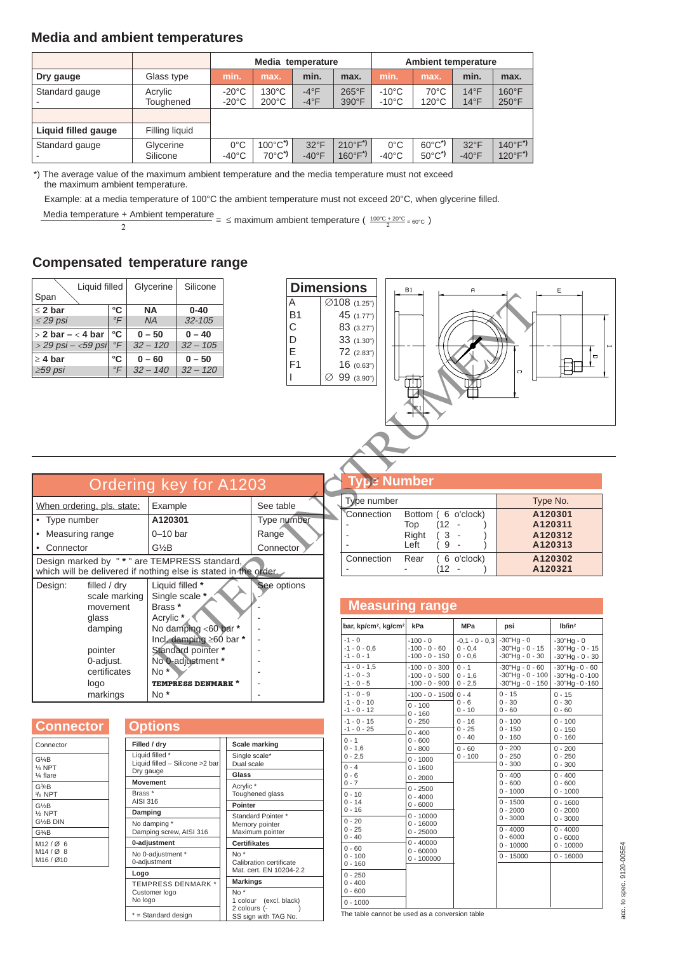### **Media and ambient temperatures**

|                     |                       | Media temperature                  |                                                 |                                 |                                          | <b>Ambient temperature</b>         |                                                            |                                  |                                          |
|---------------------|-----------------------|------------------------------------|-------------------------------------------------|---------------------------------|------------------------------------------|------------------------------------|------------------------------------------------------------|----------------------------------|------------------------------------------|
| Dry gauge           | Glass type            | min.                               | max.                                            | min.                            | max.                                     | min.                               | max.                                                       | min.                             | max.                                     |
| Standard gauge      | Acrylic<br>Toughened  | $-20^{\circ}$ C<br>$-20^{\circ}$ C | 130°C<br>$200^{\circ}$ C                        | $-4$ °F<br>$-4$ °F              | $265^{\circ}$ F<br>390°F                 | $-10^{\circ}$ C<br>$-10^{\circ}$ C | $70^{\circ}$ C<br>$120^{\circ}$ C                          | $14^{\circ}F$<br>$14^{\circ}F$   | $160^{\circ}F$<br>$250^{\circ}$ F        |
| Liquid filled gauge | Filling liquid        |                                    |                                                 |                                 |                                          |                                    |                                                            |                                  |                                          |
| Standard gauge      | Glycerine<br>Silicone | $0^{\circ}$ C<br>$-40^{\circ}$ C   | $100^{\circ}C^*$<br>$70^{\circ}$ C <sup>*</sup> | $32^{\circ}F$<br>$-40^{\circ}F$ | $210^{\circ}F^{*}$<br>$160^{\circ}F^{*}$ | $0^{\circ}$ C<br>$-40^{\circ}$ C   | $60^{\circ}$ C <sup>*</sup><br>$50^{\circ}$ C <sup>*</sup> | $32^{\circ}F$<br>$-40^{\circ}$ F | $140^{\circ}F^{*}$<br>$120^{\circ}F^{*}$ |

\*) The average value of the maximum ambient temperature and the media temperature must not exceed the maximum ambient temperature.

Example: at a media temperature of 100°C the ambient temperature must not exceed 20°C, when glycerine filled.

Media temperature + Ambient temperature  $=$   $\leq$  maximum ambient temperature ( $\frac{100^{\circ}C + 20^{\circ}C}{2} = 60^{\circ}C$ )

## **Compensated temperature range**

| Liquid filled         |               | Glycerine  | Silicone   |
|-----------------------|---------------|------------|------------|
| Span                  |               |            |            |
| $\leq$ 2 bar          | °C            | <b>NA</b>  | $0 - 40$   |
| $\leq$ 29 psi         | $\mathcal{F}$ | <b>NA</b>  | $32 - 105$ |
| $>$ 2 bar $-$ < 4 bar | °C            | $0 - 50$   | $0 - 40$   |
| $>$ 29 psi – <59 psi  | $\mathcal{F}$ | $32 - 120$ | $32 - 105$ |
| $\geq$ 4 bar          | °C            | $0 - 60$   | $0 - 50$   |
| $\geq$ 59 psi         | $\mathcal{F}$ | $32 - 140$ | $32 - 120$ |



Type number Type No. Connection Bottom ( 6 o'clock) **A120301**

Connection Rear ( 6 o'clock) **A120302**

Top (12 - ) **A120311**<br>Right (3 - ) **A120312**  $\begin{array}{c|c} (3 - 9) & \text{A120312} \\ (9 - 9) & \text{A120313} \end{array}$ - Left ( 9 - ) **A120313**

 $\big)$  **A120321** 

*<u>Be Number</u>* 

| Ordering key for A1203                                                                                                   |                                                                                                                                                                                                              |             |  |  |  |
|--------------------------------------------------------------------------------------------------------------------------|--------------------------------------------------------------------------------------------------------------------------------------------------------------------------------------------------------------|-------------|--|--|--|
| When ordering, pls. state:                                                                                               | Example                                                                                                                                                                                                      | See table   |  |  |  |
| Type number                                                                                                              | A120301                                                                                                                                                                                                      | Type number |  |  |  |
| Measuring range                                                                                                          | $0 - 10$ bar                                                                                                                                                                                                 | Range       |  |  |  |
| Connector                                                                                                                | G½B                                                                                                                                                                                                          | Connector   |  |  |  |
| Design marked by "*" are TEMPRESS standard,<br>which will be delivered if nothing else is stated in the order.           |                                                                                                                                                                                                              |             |  |  |  |
| Design:<br>filled / dry<br>scale marking<br>movement<br>glass<br>damping<br>pointer<br>0-adjust.<br>certificates<br>logo | Liquid filled *<br>Single scale *<br>Brass <sup>*</sup><br>Acrylic *<br>No damping <60 bar *<br>Incl. damping $\geq 60$ bar *<br>Standard pointer *<br>No 0-adjustment *<br>No*<br><b>TEMPRESS DENMARK *</b> | See options |  |  |  |

| <b>Connector</b> |  |  |  |  |
|------------------|--|--|--|--|
|                  |  |  |  |  |

| Connector                                                  |  |
|------------------------------------------------------------|--|
| G¼B<br>$\%$ NPT<br>$\frac{1}{4}$ flare                     |  |
| G <sup>3</sup> /8B<br>¾ NPT                                |  |
| G%B<br>$\frac{1}{2}$ NPT<br>G%B DIN                        |  |
| $G3$ AB                                                    |  |
| M12/Ø6<br>$M14 / Q$ 8<br>M <sub>16</sub> / Ø <sub>10</sub> |  |
|                                                            |  |

| Scale marking                                           |  |  |                     |  |  |
|---------------------------------------------------------|--|--|---------------------|--|--|
| Single scale*<br>Dual scale                             |  |  |                     |  |  |
| Glass                                                   |  |  |                     |  |  |
| Acrylic*                                                |  |  |                     |  |  |
| Toughened glass                                         |  |  |                     |  |  |
| <b>Pointer</b>                                          |  |  |                     |  |  |
| Standard Pointer *<br>Memory pointer<br>Maximum pointer |  |  |                     |  |  |
|                                                         |  |  | <b>Certifikates</b> |  |  |
|                                                         |  |  | $Nn^*$              |  |  |
| Calibration certificate                                 |  |  |                     |  |  |
| Mat. cert. EN 10204-2.2                                 |  |  |                     |  |  |
| <b>Markings</b>                                         |  |  |                     |  |  |
| $No*$                                                   |  |  |                     |  |  |
| 1 colour (excl. black)                                  |  |  |                     |  |  |
| 2 colours (-<br>SS sign with TAG No.                    |  |  |                     |  |  |
|                                                         |  |  |                     |  |  |

| <b>Measuring range</b>                         |                                                          |                                            |                                                                  |                                                                 |
|------------------------------------------------|----------------------------------------------------------|--------------------------------------------|------------------------------------------------------------------|-----------------------------------------------------------------|
| bar, kp/cm <sup>2</sup> , kg/cm <sup>2</sup>   | kPa                                                      | <b>MPa</b>                                 | psi                                                              | Ib/in <sup>2</sup>                                              |
| $-1 - 0$<br>$-1 - 0 - 0.6$<br>$-1 - 0 - 1$     | $-100 - 0$<br>$-100 - 0 - 60$<br>$-100 - 0 - 150$        | $-0.1 - 0 - 0.3$<br>$0 - 0.4$<br>$0 - 0.6$ | $-30"$ Hq $-0$<br>$-30$ "Hq - 0 - 15<br>$-30"$ Hq - 0 - 30       | $-30"$ Hq $-0$<br>$-30"$ Hq - 0 - 15<br>$-30"$ Hq - 0 - 30      |
| $-1 - 0 - 1.5$<br>$-1 - 0 - 3$<br>$-1 - 0 - 5$ | $-100 - 0 - 300$<br>$-100 - 0 - 500$<br>$-100 - 0 - 900$ | $0 - 1$<br>$0 - 1.6$<br>$0 - 2,5$          | $-30"$ Hq - 0 - 60<br>$-30"$ Hg - 0 - 100<br>$-30"$ Hg - 0 - 150 | $-30"$ Hg $-0 - 60$<br>$-30"$ Hg - 0 -100<br>$-30"$ Hg - 0 -160 |
| $-1 - 0 - 9$<br>$-1 - 0 - 10$<br>$-1 - 0 - 12$ | $-100 - 0 - 1500$<br>$0 - 100$<br>$0 - 160$              | $0 - 4$<br>$0 - 6$<br>$0 - 10$             | $0 - 15$<br>$0 - 30$<br>$0 - 60$                                 | $0 - 15$<br>$0 - 30$<br>$0 - 60$                                |
| $-1 - 0 - 15$<br>$-1 - 0 - 25$<br>$0 - 1$      | $0 - 250$<br>$0 - 400$<br>$0 - 600$                      | $0 - 16$<br>$0 - 25$<br>$0 - 40$           | $0 - 100$<br>$0 - 150$<br>$0 - 160$                              | $0 - 100$<br>$0 - 150$<br>$0 - 160$                             |
| $0 - 1.6$<br>$0 - 2,5$<br>$0 - 4$              | $0 - 800$<br>$0 - 1000$<br>$0 - 1600$                    | $0 - 60$<br>$0 - 100$                      | $0 - 200$<br>$0 - 250$<br>$0 - 300$                              | $0 - 200$<br>$0 - 250$<br>$0 - 300$                             |
| $0 - 6$<br>$0 - 7$<br>$0 - 10$                 | $0 - 2000$<br>$0 - 2500$                                 |                                            | $0 - 400$<br>$0 - 600$<br>$0 - 1000$                             | $0 - 400$<br>$0 - 600$<br>$0 - 1000$                            |
| $0 - 14$<br>$0 - 16$<br>$0 - 20$               | $0 - 4000$<br>$0 - 6000$<br>$0 - 10000$                  |                                            | $0 - 1500$<br>$0 - 2000$<br>$0 - 3000$                           | $0 - 1600$<br>$0 - 2000$<br>$0 - 3000$                          |
| $0 - 25$<br>$0 - 40$<br>$0 - 60$               | $0 - 16000$<br>$0 - 25000$<br>$0 - 40000$                |                                            | $0 - 4000$<br>$0 - 6000$<br>$0 - 10000$                          | $0 - 4000$<br>$0 - 6000$<br>$0 - 10000$                         |
| $0 - 100$<br>$0 - 160$                         | $0 - 60000$<br>$0 - 100000$                              |                                            | $0 - 15000$                                                      | $0 - 16000$                                                     |
| $0 - 250$<br>$0 - 400$<br>$0 - 600$            |                                                          |                                            |                                                                  |                                                                 |
| $0 - 1000$                                     |                                                          |                                            |                                                                  |                                                                 |

The table cannot be used as a conversion table